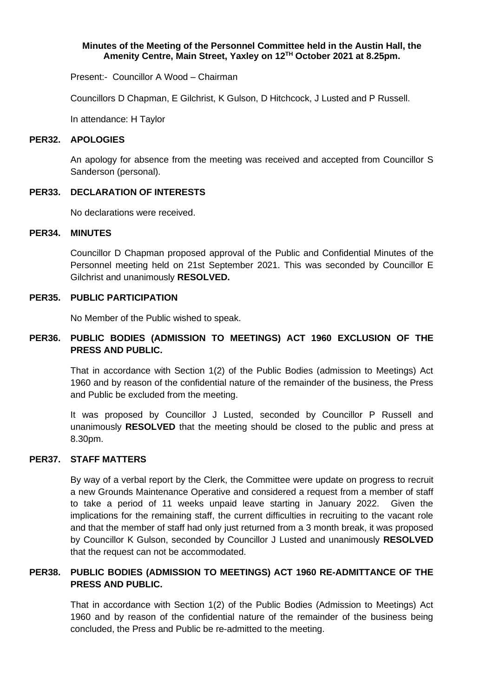### **Minutes of the Meeting of the Personnel Committee held in the Austin Hall, the Amenity Centre, Main Street, Yaxley on 12TH October 2021 at 8.25pm.**

Present:- Councillor A Wood – Chairman

Councillors D Chapman, E Gilchrist, K Gulson, D Hitchcock, J Lusted and P Russell.

In attendance: H Taylor

#### **PER32. APOLOGIES**

An apology for absence from the meeting was received and accepted from Councillor S Sanderson (personal).

### **PER33. DECLARATION OF INTERESTS**

No declarations were received.

### **PER34. MINUTES**

Councillor D Chapman proposed approval of the Public and Confidential Minutes of the Personnel meeting held on 21st September 2021. This was seconded by Councillor E Gilchrist and unanimously **RESOLVED.**

## **PER35. PUBLIC PARTICIPATION**

No Member of the Public wished to speak.

# **PER36. PUBLIC BODIES (ADMISSION TO MEETINGS) ACT 1960 EXCLUSION OF THE PRESS AND PUBLIC.**

That in accordance with Section 1(2) of the Public Bodies (admission to Meetings) Act 1960 and by reason of the confidential nature of the remainder of the business, the Press and Public be excluded from the meeting.

It was proposed by Councillor J Lusted, seconded by Councillor P Russell and unanimously **RESOLVED** that the meeting should be closed to the public and press at 8.30pm.

## **PER37. STAFF MATTERS**

By way of a verbal report by the Clerk, the Committee were update on progress to recruit a new Grounds Maintenance Operative and considered a request from a member of staff to take a period of 11 weeks unpaid leave starting in January 2022. Given the implications for the remaining staff, the current difficulties in recruiting to the vacant role and that the member of staff had only just returned from a 3 month break, it was proposed by Councillor K Gulson, seconded by Councillor J Lusted and unanimously **RESOLVED** that the request can not be accommodated.

# **PER38. PUBLIC BODIES (ADMISSION TO MEETINGS) ACT 1960 RE-ADMITTANCE OF THE PRESS AND PUBLIC.**

That in accordance with Section 1(2) of the Public Bodies (Admission to Meetings) Act 1960 and by reason of the confidential nature of the remainder of the business being concluded, the Press and Public be re-admitted to the meeting.